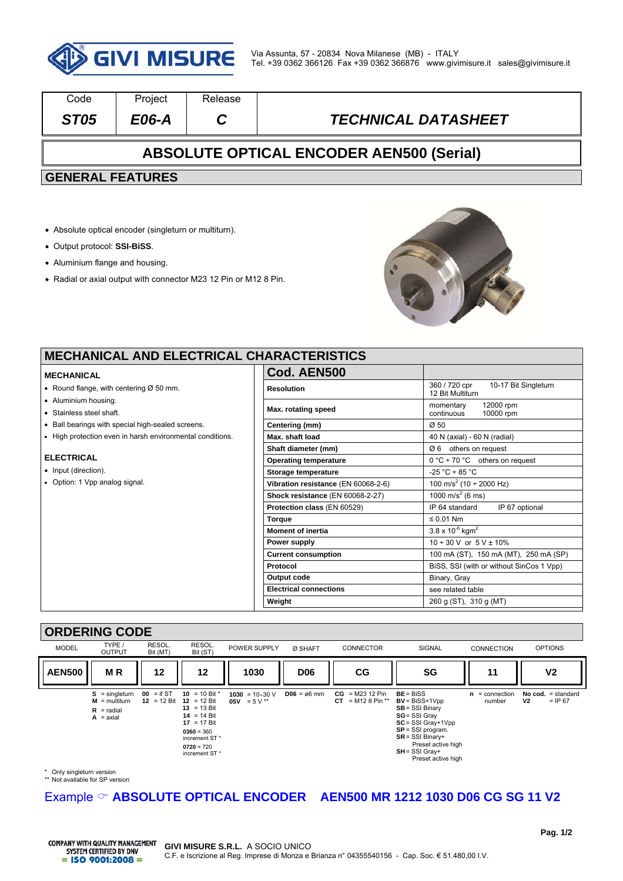

| Code                                            | Project | Release |                            |  |  |  |  |
|-------------------------------------------------|---------|---------|----------------------------|--|--|--|--|
| <b>ST05</b>                                     | E06-A   |         | <b>TECHNICAL DATASHEET</b> |  |  |  |  |
| <b>ABSOLUTE OPTICAL ENCODER AEN500 (Serial)</b> |         |         |                            |  |  |  |  |
| <b>GENERAL FEATURES</b>                         |         |         |                            |  |  |  |  |
|                                                 |         |         |                            |  |  |  |  |
|                                                 |         |         |                            |  |  |  |  |

- Absolute optical encoder (singleturn or multiturn).
- Output protocol: **SSI-BiSS**.
- Aluminium flange and housing.
- Radial or axial output with connector M23 12 Pin or M12 8 Pin.



### **MECHANICAL AND ELECTRICAL CH**

#### **MECHANICAL**

- Round flange, with centering  $Ø$  50 mm.
- Aluminium housing.
- Stainless steel shaft.
- Ball bearings with special high-sealed screens.
- High protection even in harsh environmental conditions.

#### **ELECTRICAL**

- Input (direction).
- Option: 1 Vpp analog signal.

| <b>HARACTERISTICS</b>               |                                                           |  |  |  |
|-------------------------------------|-----------------------------------------------------------|--|--|--|
| Cod. AEN500                         |                                                           |  |  |  |
| <b>Resolution</b>                   | 360 / 720 cpr<br>10-17 Bit Singleturn<br>12 Bit Multiturn |  |  |  |
| Max. rotating speed                 | 12000 rpm<br>momentary<br>continuous<br>10000 rpm         |  |  |  |
| Centering (mm)                      | Ø50                                                       |  |  |  |
| Max. shaft load                     | 40 N (axial) - 60 N (radial)                              |  |  |  |
| Shaft diameter (mm)                 | others on request<br>Ø6                                   |  |  |  |
| <b>Operating temperature</b>        | $0^{\circ}$ C ÷ 70 °C others on request                   |  |  |  |
| Storage temperature                 | $-25 °C \div 85 °C$                                       |  |  |  |
| Vibration resistance (EN 60068-2-6) | $\frac{100 \text{ m/s}^2}{(10 \div 2000 \text{ Hz})}$     |  |  |  |
| Shock resistance (EN 60068-2-27)    | $\frac{1000 \text{ m/s}^2}{6 \text{ ms}}$                 |  |  |  |
| Protection class (EN 60529)         | IP 64 standard<br>IP 67 optional                          |  |  |  |
| <b>Torque</b>                       | $\leq 0.01$ Nm                                            |  |  |  |
| <b>Moment of inertia</b>            | $3.8 \times 10^{-6}$ kgm <sup>2</sup>                     |  |  |  |
| Power supply                        | $10 \div 30$ V or $5$ V $\pm$ 10%                         |  |  |  |
| <b>Current consumption</b>          | 100 mA (ST), 150 mA (MT), 250 mA (SP)                     |  |  |  |
| Protocol                            | BiSS, SSI (with or without SinCos 1 Vpp)                  |  |  |  |
| Output code                         | Binary, Gray                                              |  |  |  |
| <b>Electrical connections</b>       | see related table                                         |  |  |  |
| Weight                              | 260 g (ST), 310 g (MT)                                    |  |  |  |

#### **ORDERING CODE**



\* Only singleturn version \*\* Not available for SP version

# Example  $\circledcirc$  ABSOLUTE OPTICAL ENCODER AEN500 MR 1212 1030 D06 CG SG 11 V2